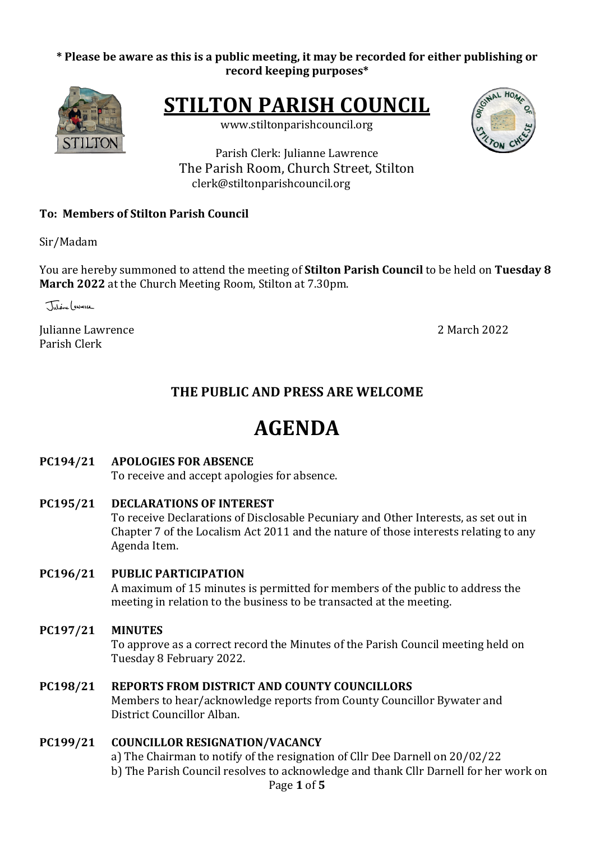## \* Please be aware as this is a public meeting, it may be recorded for either publishing or **record keeping purposes\***



**STILTON PARISH COUNCIL** 

www.stiltonparishcouncil.org



Parish Clerk: Julianne Lawrence The Parish Room, Church Street, Stilton clerk@stiltonparishcouncil.org

## **To: Members of Stilton Parish Council**

Sir/Madam

You are hereby summoned to attend the meeting of **Stilton Parish Council** to be held on Tuesday 8 **March 2022** at the Church Meeting Room, Stilton at 7.30pm.

Tutione ( *<i>swee*ce

Julianne Lawrence 2 March 2022 Parish Clerk

## **THE PUBLIC AND PRESS ARE WELCOME**

# **AGENDA**

## **PC194/21 APOLOGIES FOR ABSENCE**

To receive and accept apologies for absence.

**PC195/21 DECLARATIONS OF INTEREST** To receive Declarations of Disclosable Pecuniary and Other Interests, as set out in Chapter 7 of the Localism Act 2011 and the nature of those interests relating to any Agenda Item.

## **PC196/21 PUBLIC PARTICIPATION**

A maximum of 15 minutes is permitted for members of the public to address the meeting in relation to the business to be transacted at the meeting.

## **PC197/21 MINUTES**

To approve as a correct record the Minutes of the Parish Council meeting held on Tuesday 8 February 2022.

#### **PC198/21 REPORTS FROM DISTRICT AND COUNTY COUNCILLORS**

Members to hear/acknowledge reports from County Councillor Bywater and District Councillor Alban.

## **PC199/21 COUNCILLOR RESIGNATION/VACANCY**

Page **1** of **5** a) The Chairman to notify of the resignation of Cllr Dee Darnell on 20/02/22 b) The Parish Council resolves to acknowledge and thank Cllr Darnell for her work on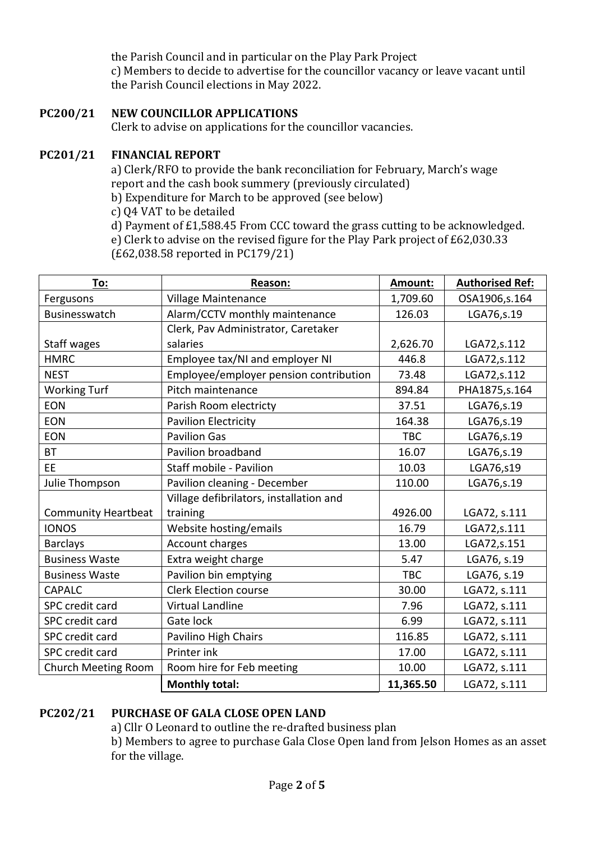the Parish Council and in particular on the Play Park Project c) Members to decide to advertise for the councillor vacancy or leave vacant until the Parish Council elections in May 2022.

## **PC200/21 NEW COUNCILLOR APPLICATIONS**

Clerk to advise on applications for the councillor vacancies.

#### **PC201/21 FINANCIAL REPORT**

a) Clerk/RFO to provide the bank reconciliation for February, March's wage report and the cash book summery (previously circulated)

- b) Expenditure for March to be approved (see below)
- c) Q4 VAT to be detailed

d) Payment of  $£1,588.45$  From CCC toward the grass cutting to be acknowledged. e) Clerk to advise on the revised figure for the Play Park project of  $E62,030.33$ (£62,038.58 reported in PC179/21)

| To:                        | Reason:                                 | Amount:    | <b>Authorised Ref:</b> |
|----------------------------|-----------------------------------------|------------|------------------------|
| Fergusons                  | Village Maintenance                     | 1,709.60   | OSA1906,s.164          |
| Businesswatch              | Alarm/CCTV monthly maintenance          | 126.03     | LGA76,s.19             |
|                            | Clerk, Pav Administrator, Caretaker     |            |                        |
| Staff wages                | salaries                                | 2,626.70   | LGA72, s.112           |
| <b>HMRC</b>                | Employee tax/NI and employer NI         | 446.8      | LGA72, s.112           |
| <b>NEST</b>                | Employee/employer pension contribution  | 73.48      | LGA72,s.112            |
| <b>Working Turf</b>        | Pitch maintenance                       | 894.84     | PHA1875, s. 164        |
| <b>EON</b>                 | Parish Room electricty                  | 37.51      | LGA76, s.19            |
| <b>EON</b>                 | <b>Pavilion Electricity</b>             | 164.38     | LGA76, s.19            |
| <b>EON</b>                 | <b>Pavilion Gas</b>                     | <b>TBC</b> | LGA76,s.19             |
| <b>BT</b>                  | Pavilion broadband                      | 16.07      | LGA76,s.19             |
| EE.                        | Staff mobile - Pavilion                 | 10.03      | LGA76,s19              |
| Julie Thompson             | Pavilion cleaning - December            | 110.00     | LGA76,s.19             |
|                            | Village defibrilators, installation and |            |                        |
| <b>Community Heartbeat</b> | training                                | 4926.00    | LGA72, s.111           |
| <b>IONOS</b>               | Website hosting/emails                  | 16.79      | LGA72,s.111            |
| <b>Barclays</b>            | Account charges                         | 13.00      | LGA72, s.151           |
| <b>Business Waste</b>      | Extra weight charge                     | 5.47       | LGA76, s.19            |
| <b>Business Waste</b>      | Pavilion bin emptying                   | <b>TBC</b> | LGA76, s.19            |
| <b>CAPALC</b>              | <b>Clerk Election course</b>            | 30.00      | LGA72, s.111           |
| SPC credit card            | <b>Virtual Landline</b>                 | 7.96       | LGA72, s.111           |
| <b>SPC</b> credit card     | Gate lock                               | 6.99       | LGA72, s.111           |
| SPC credit card            | Pavilino High Chairs                    | 116.85     | LGA72, s.111           |
| SPC credit card            | Printer ink                             | 17.00      | LGA72, s.111           |
| Church Meeting Room        | Room hire for Feb meeting               | 10.00      | LGA72, s.111           |
|                            | <b>Monthly total:</b>                   | 11,365.50  | LGA72, s.111           |

## **PC202/21 PURCHASE OF GALA CLOSE OPEN LAND**

a) Cllr O Leonard to outline the re-drafted business plan

b) Members to agree to purchase Gala Close Open land from Jelson Homes as an asset for the village.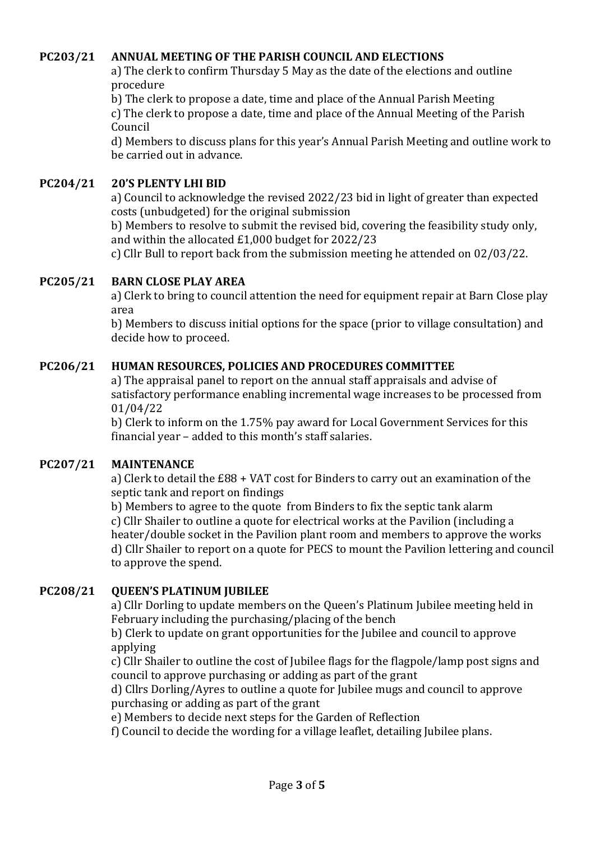## **PC203/21 ANNUAL MEETING OF THE PARISH COUNCIL AND ELECTIONS**

a) The clerk to confirm Thursday 5 May as the date of the elections and outline procedure

b) The clerk to propose a date, time and place of the Annual Parish Meeting c) The clerk to propose a date, time and place of the Annual Meeting of the Parish Council

d) Members to discuss plans for this year's Annual Parish Meeting and outline work to be carried out in advance.

#### **PC204/21 20'S PLENTY LHI BID**

a) Council to acknowledge the revised 2022/23 bid in light of greater than expected costs (unbudgeted) for the original submission

b) Members to resolve to submit the revised bid, covering the feasibility study only, and within the allocated  $£1,000$  budget for  $2022/23$ 

c) Cllr Bull to report back from the submission meeting he attended on 02/03/22.

#### **PC205/21 BARN CLOSE PLAY AREA**

a) Clerk to bring to council attention the need for equipment repair at Barn Close play area

b) Members to discuss initial options for the space (prior to village consultation) and decide how to proceed.

#### **PC206/21 HUMAN RESOURCES, POLICIES AND PROCEDURES COMMITTEE**

a) The appraisal panel to report on the annual staff appraisals and advise of satisfactory performance enabling incremental wage increases to be processed from 01/04/22

b) Clerk to inform on the 1.75% pay award for Local Government Services for this financial year – added to this month's staff salaries.

#### **PC207/21 MAINTENANCE**

a) Clerk to detail the £88 + VAT cost for Binders to carry out an examination of the septic tank and report on findings

b) Members to agree to the quote from Binders to fix the septic tank alarm c) Cllr Shailer to outline a quote for electrical works at the Pavilion (including a heater/double socket in the Pavilion plant room and members to approve the works d) Cllr Shailer to report on a quote for PECS to mount the Pavilion lettering and council to approve the spend.

#### **PC208/21 QUEEN'S PLATINUM JUBILEE**

a) Cllr Dorling to update members on the Queen's Platinum Jubilee meeting held in February including the purchasing/placing of the bench

b) Clerk to update on grant opportunities for the Jubilee and council to approve applying

c) Cllr Shailer to outline the cost of Jubilee flags for the flagpole/lamp post signs and council to approve purchasing or adding as part of the grant

d) Cllrs Dorling/Ayres to outline a quote for Jubilee mugs and council to approve purchasing or adding as part of the grant

e) Members to decide next steps for the Garden of Reflection

f) Council to decide the wording for a village leaflet, detailing Jubilee plans.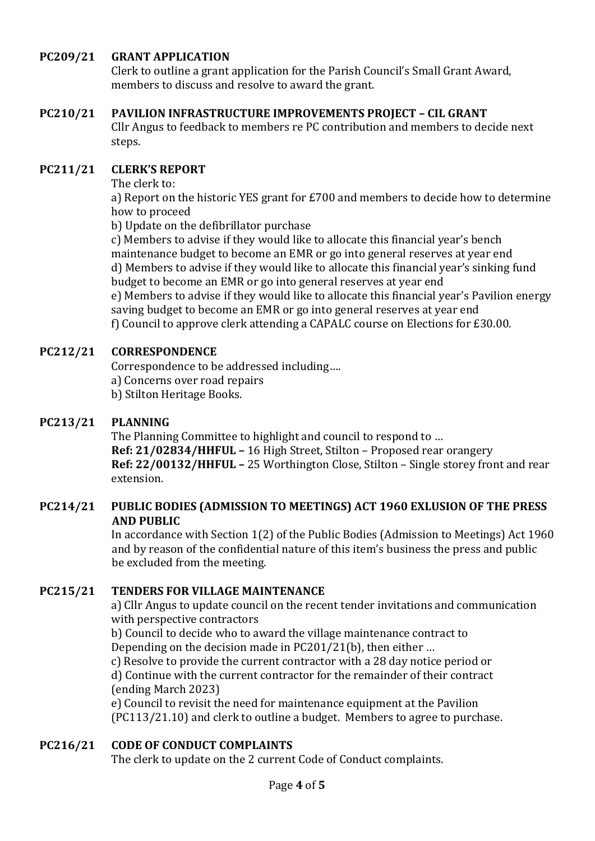## **PC209/21 GRANT APPLICATION**

Clerk to outline a grant application for the Parish Council's Small Grant Award, members to discuss and resolve to award the grant.

#### **PC210/21 PAVILION INFRASTRUCTURE IMPROVEMENTS PROJECT - CIL GRANT**

Cllr Angus to feedback to members re PC contribution and members to decide next steps.

#### **PC211/21 CLERK'S REPORT**

The clerk  $\text{to}$ :

a) Report on the historic YES grant for  $£700$  and members to decide how to determine how to proceed

b) Update on the defibrillator purchase

c) Members to advise if they would like to allocate this financial year's bench maintenance budget to become an EMR or go into general reserves at year end d) Members to advise if they would like to allocate this financial year's sinking fund budget to become an EMR or go into general reserves at year end e) Members to advise if they would like to allocate this financial year's Pavilion energy saving budget to become an EMR or go into general reserves at year end f) Council to approve clerk attending a CAPALC course on Elections for £30.00.

## **PC212/21 CORRESPONDENCE**

Correspondence to be addressed including.... a) Concerns over road repairs

b) Stilton Heritage Books.

#### **PC213/21 PLANNING**

The Planning Committee to highlight and council to respond to ... **Ref: 21/02834/HHFUL -** 16 High Street, Stilton - Proposed rear orangery **Ref: 22/00132/HHFUL –** 25 Worthington Close, Stilton – Single storey front and rear extension.

## **PC214/21 PUBLIC BODIES (ADMISSION TO MEETINGS) ACT 1960 EXLUSION OF THE PRESS AND PUBLIC**

In accordance with Section 1(2) of the Public Bodies (Admission to Meetings) Act 1960 and by reason of the confidential nature of this item's business the press and public be excluded from the meeting.

## **PC215/21 TENDERS FOR VILLAGE MAINTENANCE**

a) Cllr Angus to update council on the recent tender invitations and communication with perspective contractors

b) Council to decide who to award the village maintenance contract to Depending on the decision made in  $PC201/21(b)$ , then either ...

c) Resolve to provide the current contractor with a 28 day notice period or d) Continue with the current contractor for the remainder of their contract (ending March 2023)

e) Council to revisit the need for maintenance equipment at the Pavilion (PC113/21.10) and clerk to outline a budget. Members to agree to purchase.

## **PC216/21 CODE OF CONDUCT COMPLAINTS**

The clerk to update on the 2 current Code of Conduct complaints.